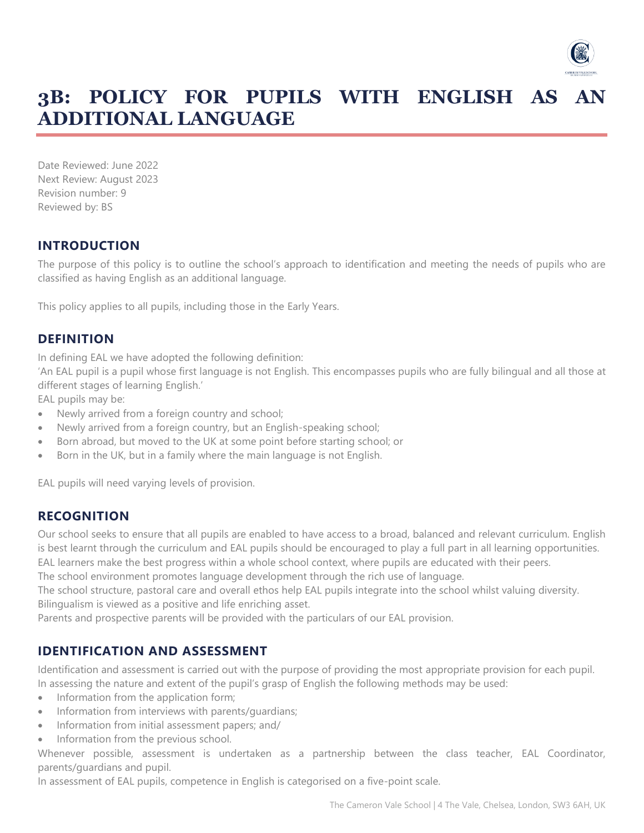

# **3B: POLICY FOR PUPILS WITH ENGLISH AS AN ADDITIONAL LANGUAGE**

Date Reviewed: June 2022 Next Review: August 2023 Revision number: 9 Reviewed by: BS

## **INTRODUCTION**

The purpose of this policy is to outline the school's approach to identification and meeting the needs of pupils who are classified as having English as an additional language.

This policy applies to all pupils, including those in the Early Years.

#### **DEFINITION**

In defining EAL we have adopted the following definition:

'An EAL pupil is a pupil whose first language is not English. This encompasses pupils who are fully bilingual and all those at different stages of learning English.'

EAL pupils may be:

- Newly arrived from a foreign country and school;
- Newly arrived from a foreign country, but an English-speaking school;
- Born abroad, but moved to the UK at some point before starting school; or
- Born in the UK, but in a family where the main language is not English.

EAL pupils will need varying levels of provision.

#### **RECOGNITION**

Our school seeks to ensure that all pupils are enabled to have access to a broad, balanced and relevant curriculum. English is best learnt through the curriculum and EAL pupils should be encouraged to play a full part in all learning opportunities. EAL learners make the best progress within a whole school context, where pupils are educated with their peers.

The school environment promotes language development through the rich use of language.

The school structure, pastoral care and overall ethos help EAL pupils integrate into the school whilst valuing diversity. Bilingualism is viewed as a positive and life enriching asset.

Parents and prospective parents will be provided with the particulars of our EAL provision.

#### **IDENTIFICATION AND ASSESSMENT**

Identification and assessment is carried out with the purpose of providing the most appropriate provision for each pupil. In assessing the nature and extent of the pupil's grasp of English the following methods may be used:

- Information from the application form;
- Information from interviews with parents/guardians;
- Information from initial assessment papers; and/
- Information from the previous school.

Whenever possible, assessment is undertaken as a partnership between the class teacher, EAL Coordinator, parents/guardians and pupil.

In assessment of EAL pupils, competence in English is categorised on a five-point scale.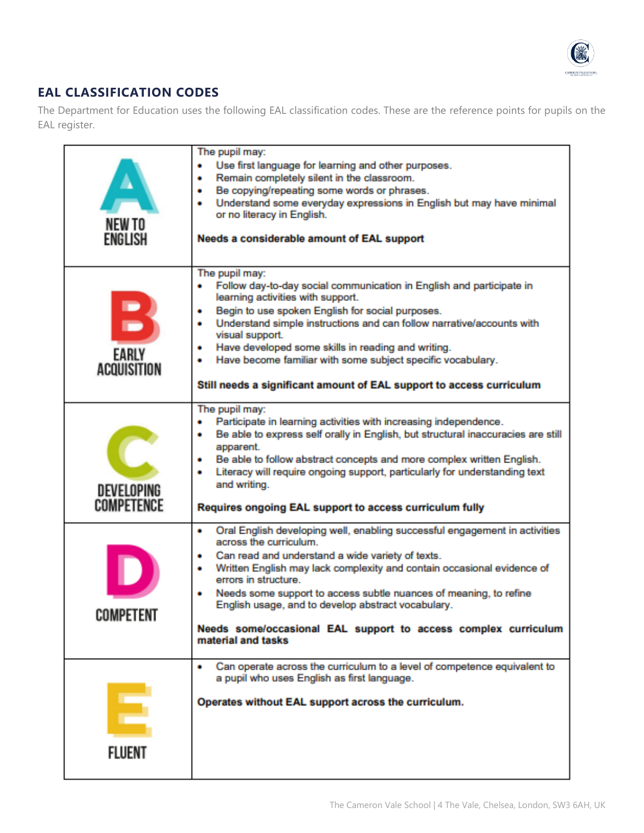

# **EAL CLASSIFICATION CODES**

The Department for Education uses the following EAL classification codes. These are the reference points for pupils on the EAL register.

| NEW TO<br>ENGLISH        | The pupil may:<br>Use first language for learning and other purposes.<br>٠<br>Remain completely silent in the classroom.<br>٠<br>Be copying/repeating some words or phrases.<br>٠<br>Understand some everyday expressions in English but may have minimal<br>٠<br>or no literacy in English.<br>Needs a considerable amount of EAL support                                                                                                                                                   |
|--------------------------|----------------------------------------------------------------------------------------------------------------------------------------------------------------------------------------------------------------------------------------------------------------------------------------------------------------------------------------------------------------------------------------------------------------------------------------------------------------------------------------------|
| EARLY<br>ACOUISITION     | The pupil may:<br>Follow day-to-day social communication in English and participate in<br>learning activities with support.<br>Begin to use spoken English for social purposes.<br>Understand simple instructions and can follow narrative/accounts with<br>٠<br>visual support.<br>Have developed some skills in reading and writing.<br>٠<br>Have become familiar with some subject specific vocabulary.<br>٠<br>Still needs a significant amount of EAL support to access curriculum      |
| DEVELOPING<br>COMPETENCE | The pupil may:<br>Participate in learning activities with increasing independence.<br>٠<br>Be able to express self orally in English, but structural inaccuracies are still<br>٠<br>apparent.<br>Be able to follow abstract concepts and more complex written English.<br>٠<br>Literacy will require ongoing support, particularly for understanding text<br>٠<br>and writing.<br>Requires ongoing EAL support to access curriculum fully                                                    |
| COMPETENT                | Oral English developing well, enabling successful engagement in activities<br>٠<br>across the curriculum.<br>Can read and understand a wide variety of texts.<br>٠<br>Written English may lack complexity and contain occasional evidence of<br>٠<br>errors in structure.<br>Needs some support to access subtle nuances of meaning, to refine<br>English usage, and to develop abstract vocabulary.<br>Needs some/occasional EAL support to access complex curriculum<br>material and tasks |
| FLUENT                   | Can operate across the curriculum to a level of competence equivalent to<br>a pupil who uses English as first language.<br>Operates without EAL support across the curriculum.                                                                                                                                                                                                                                                                                                               |